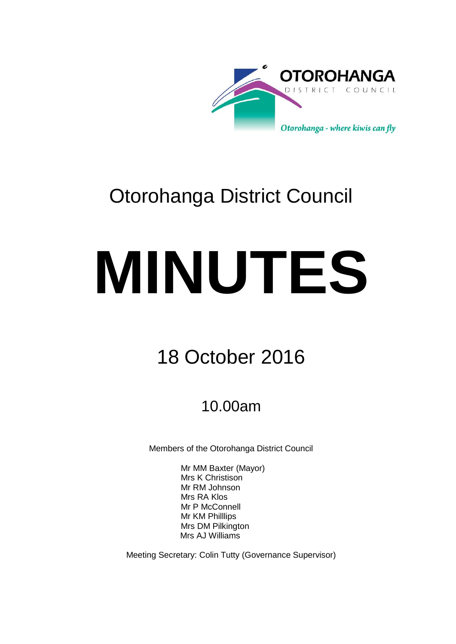

# Otorohanga District Council

# **MINUTES**

# 18 October 2016

## 10.00am

Members of the Otorohanga District Council

Mr MM Baxter (Mayor) Mrs K Christison Mr RM Johnson Mrs RA Klos Mr P McConnell Mr KM Philllips Mrs DM Pilkington Mrs AJ Williams

Meeting Secretary: Colin Tutty (Governance Supervisor)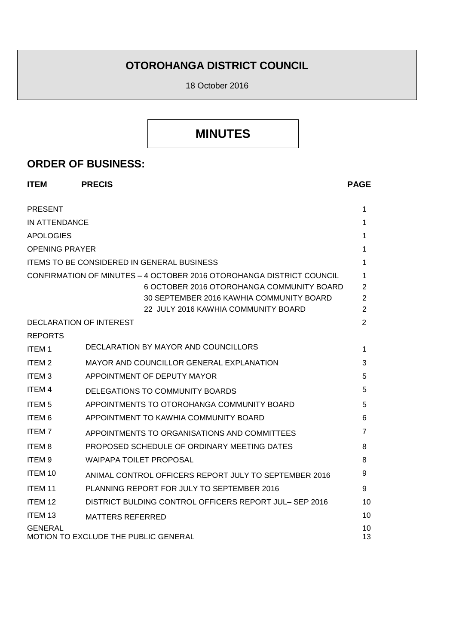### **OTOROHANGA DISTRICT COUNCIL**

18 October 2016

## **MINUTES**

#### **ORDER OF BUSINESS:**

| <b>ITEM</b>                                     | <b>PRECIS</b>                                                                   | <b>PAGE</b>         |
|-------------------------------------------------|---------------------------------------------------------------------------------|---------------------|
| <b>PRESENT</b>                                  |                                                                                 | 1                   |
| <b>IN ATTENDANCE</b>                            |                                                                                 | 1                   |
| <b>APOLOGIES</b>                                |                                                                                 | 1                   |
| <b>OPENING PRAYER</b>                           |                                                                                 | 1                   |
|                                                 | <b>ITEMS TO BE CONSIDERED IN GENERAL BUSINESS</b>                               | 1                   |
|                                                 | CONFIRMATION OF MINUTES - 4 OCTOBER 2016 OTOROHANGA DISTRICT COUNCIL            | 1                   |
|                                                 | 6 OCTOBER 2016 OTOROHANGA COMMUNITY BOARD                                       | 2                   |
|                                                 | 30 SEPTEMBER 2016 KAWHIA COMMUNITY BOARD<br>22 JULY 2016 KAWHIA COMMUNITY BOARD | 2<br>$\overline{2}$ |
| DECLARATION OF INTEREST                         |                                                                                 | 2                   |
| <b>REPORTS</b>                                  |                                                                                 |                     |
| <b>ITEM1</b>                                    | DECLARATION BY MAYOR AND COUNCILLORS                                            | 1                   |
| ITEM <sub>2</sub>                               | MAYOR AND COUNCILLOR GENERAL EXPLANATION                                        | 3                   |
| <b>ITEM3</b>                                    | APPOINTMENT OF DEPUTY MAYOR                                                     | 5                   |
| <b>ITEM 4</b>                                   | DELEGATIONS TO COMMUNITY BOARDS                                                 | 5                   |
| <b>ITEM<sub>5</sub></b>                         | APPOINTMENTS TO OTOROHANGA COMMUNITY BOARD                                      | 5                   |
| ITEM <sub>6</sub>                               | APPOINTMENT TO KAWHIA COMMUNITY BOARD                                           | 6                   |
| <b>ITEM7</b>                                    | APPOINTMENTS TO ORGANISATIONS AND COMMITTEES                                    | 7                   |
| <b>ITEM8</b>                                    | PROPOSED SCHEDULE OF ORDINARY MEETING DATES                                     | 8                   |
| ITEM <sub>9</sub>                               | <b>WAIPAPA TOILET PROPOSAL</b>                                                  | 8                   |
| ITEM 10                                         | ANIMAL CONTROL OFFICERS REPORT JULY TO SEPTEMBER 2016                           | 9                   |
| ITEM <sub>11</sub>                              | PLANNING REPORT FOR JULY TO SEPTEMBER 2016                                      | 9                   |
| ITEM 12                                         | DISTRICT BULDING CONTROL OFFICERS REPORT JUL-SEP 2016                           | 10                  |
| ITEM <sub>13</sub>                              | <b>MATTERS REFERRED</b>                                                         | 10                  |
| GENERAL<br>MOTION TO EXCLUDE THE PUBLIC GENERAL |                                                                                 |                     |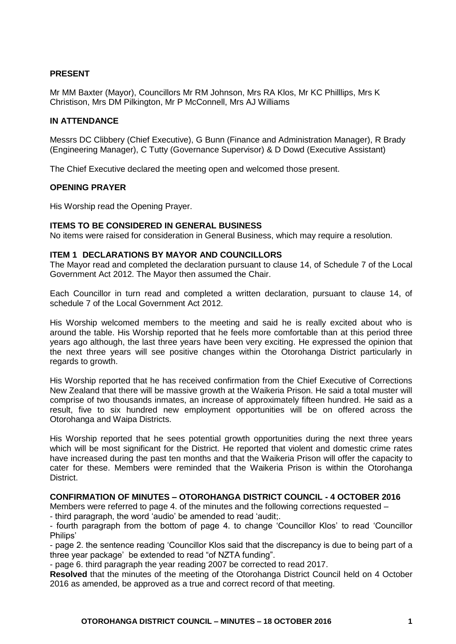#### **PRESENT**

Mr MM Baxter (Mayor), Councillors Mr RM Johnson, Mrs RA Klos, Mr KC Philllips, Mrs K Christison, Mrs DM Pilkington, Mr P McConnell, Mrs AJ Williams

#### **IN ATTENDANCE**

Messrs DC Clibbery (Chief Executive), G Bunn (Finance and Administration Manager), R Brady (Engineering Manager), C Tutty (Governance Supervisor) & D Dowd (Executive Assistant)

The Chief Executive declared the meeting open and welcomed those present.

#### **OPENING PRAYER**

His Worship read the Opening Prayer.

#### **ITEMS TO BE CONSIDERED IN GENERAL BUSINESS**

No items were raised for consideration in General Business, which may require a resolution.

#### **ITEM 1 DECLARATIONS BY MAYOR AND COUNCILLORS**

The Mayor read and completed the declaration pursuant to clause 14, of Schedule 7 of the Local Government Act 2012. The Mayor then assumed the Chair.

Each Councillor in turn read and completed a written declaration, pursuant to clause 14, of schedule 7 of the Local Government Act 2012.

His Worship welcomed members to the meeting and said he is really excited about who is around the table. His Worship reported that he feels more comfortable than at this period three years ago although, the last three years have been very exciting. He expressed the opinion that the next three years will see positive changes within the Otorohanga District particularly in regards to growth.

His Worship reported that he has received confirmation from the Chief Executive of Corrections New Zealand that there will be massive growth at the Waikeria Prison. He said a total muster will comprise of two thousands inmates, an increase of approximately fifteen hundred. He said as a result, five to six hundred new employment opportunities will be on offered across the Otorohanga and Waipa Districts.

His Worship reported that he sees potential growth opportunities during the next three years which will be most significant for the District. He reported that violent and domestic crime rates have increased during the past ten months and that the Waikeria Prison will offer the capacity to cater for these. Members were reminded that the Waikeria Prison is within the Otorohanga District.

#### **CONFIRMATION OF MINUTES – OTOROHANGA DISTRICT COUNCIL - 4 OCTOBER 2016**

Members were referred to page 4. of the minutes and the following corrections requested –

- third paragraph, the word 'audio' be amended to read 'audit;.

- fourth paragraph from the bottom of page 4. to change 'Councillor Klos' to read 'Councillor Philips'

- page 2. the sentence reading 'Councillor Klos said that the discrepancy is due to being part of a three year package' be extended to read "of NZTA funding".

- page 6. third paragraph the year reading 2007 be corrected to read 2017.

**Resolved** that the minutes of the meeting of the Otorohanga District Council held on 4 October 2016 as amended, be approved as a true and correct record of that meeting.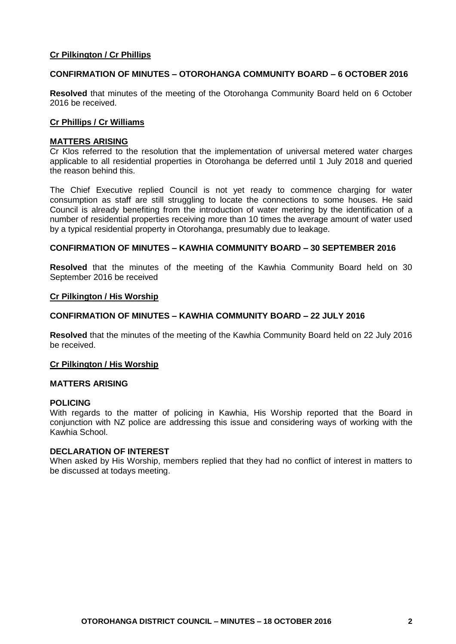#### **Cr Pilkington / Cr Phillips**

#### **CONFIRMATION OF MINUTES – OTOROHANGA COMMUNITY BOARD – 6 OCTOBER 2016**

**Resolved** that minutes of the meeting of the Otorohanga Community Board held on 6 October 2016 be received.

#### **Cr Phillips / Cr Williams**

#### **MATTERS ARISING**

Cr Klos referred to the resolution that the implementation of universal metered water charges applicable to all residential properties in Otorohanga be deferred until 1 July 2018 and queried the reason behind this.

The Chief Executive replied Council is not yet ready to commence charging for water consumption as staff are still struggling to locate the connections to some houses. He said Council is already benefiting from the introduction of water metering by the identification of a number of residential properties receiving more than 10 times the average amount of water used by a typical residential property in Otorohanga, presumably due to leakage.

#### **CONFIRMATION OF MINUTES – KAWHIA COMMUNITY BOARD – 30 SEPTEMBER 2016**

**Resolved** that the minutes of the meeting of the Kawhia Community Board held on 30 September 2016 be received

#### **Cr Pilkington / His Worship**

#### **CONFIRMATION OF MINUTES – KAWHIA COMMUNITY BOARD – 22 JULY 2016**

**Resolved** that the minutes of the meeting of the Kawhia Community Board held on 22 July 2016 be received.

#### **Cr Pilkington / His Worship**

#### **MATTERS ARISING**

#### **POLICING**

With regards to the matter of policing in Kawhia, His Worship reported that the Board in conjunction with NZ police are addressing this issue and considering ways of working with the Kawhia School.

#### **DECLARATION OF INTEREST**

When asked by His Worship, members replied that they had no conflict of interest in matters to be discussed at todays meeting.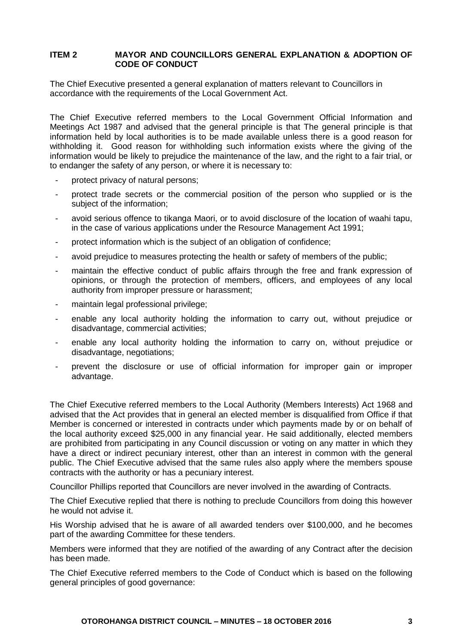#### **ITEM 2 MAYOR AND COUNCILLORS GENERAL EXPLANATION & ADOPTION OF CODE OF CONDUCT**

The Chief Executive presented a general explanation of matters relevant to Councillors in accordance with the requirements of the Local Government Act.

The Chief Executive referred members to the Local Government Official Information and Meetings Act 1987 and advised that the general principle is that The general principle is that information held by local authorities is to be made available unless there is a good reason for withholding it. Good reason for withholding such information exists where the giving of the information would be likely to prejudice the maintenance of the law, and the right to a fair trial, or to endanger the safety of any person, or where it is necessary to:

- protect privacy of natural persons;
- protect trade secrets or the commercial position of the person who supplied or is the subject of the information;
- avoid serious offence to tikanga Maori, or to avoid disclosure of the location of waahi tapu, in the case of various applications under the Resource Management Act 1991;
- protect information which is the subject of an obligation of confidence;
- avoid prejudice to measures protecting the health or safety of members of the public;
- maintain the effective conduct of public affairs through the free and frank expression of opinions, or through the protection of members, officers, and employees of any local authority from improper pressure or harassment;
- maintain legal professional privilege;
- enable any local authority holding the information to carry out, without prejudice or disadvantage, commercial activities;
- enable any local authority holding the information to carry on, without prejudice or disadvantage, negotiations;
- prevent the disclosure or use of official information for improper gain or improper advantage.

The Chief Executive referred members to the Local Authority (Members Interests) Act 1968 and advised that the Act provides that in general an elected member is disqualified from Office if that Member is concerned or interested in contracts under which payments made by or on behalf of the local authority exceed \$25,000 in any financial year. He said additionally, elected members are prohibited from participating in any Council discussion or voting on any matter in which they have a direct or indirect pecuniary interest, other than an interest in common with the general public. The Chief Executive advised that the same rules also apply where the members spouse contracts with the authority or has a pecuniary interest.

Councillor Phillips reported that Councillors are never involved in the awarding of Contracts.

The Chief Executive replied that there is nothing to preclude Councillors from doing this however he would not advise it.

His Worship advised that he is aware of all awarded tenders over \$100,000, and he becomes part of the awarding Committee for these tenders.

Members were informed that they are notified of the awarding of any Contract after the decision has been made.

The Chief Executive referred members to the Code of Conduct which is based on the following general principles of good governance: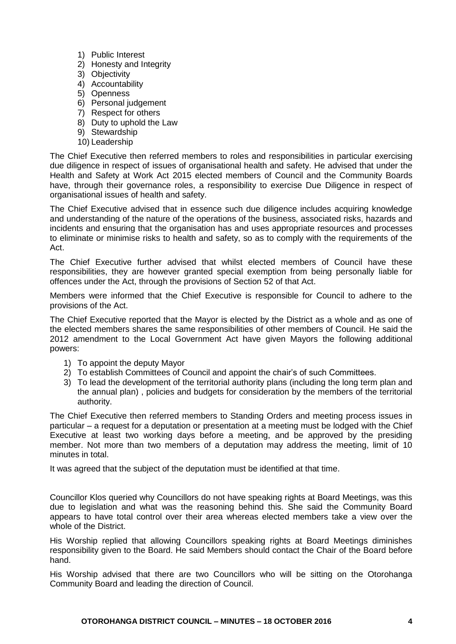- 1) Public Interest
- 2) Honesty and Integrity
- 3) Objectivity
- 4) Accountability
- 5) Openness
- 6) Personal judgement
- 7) Respect for others
- 8) Duty to uphold the Law
- 9) Stewardship
- 10) Leadership

The Chief Executive then referred members to roles and responsibilities in particular exercising due diligence in respect of issues of organisational health and safety. He advised that under the Health and Safety at Work Act 2015 elected members of Council and the Community Boards have, through their governance roles, a responsibility to exercise Due Diligence in respect of organisational issues of health and safety.

The Chief Executive advised that in essence such due diligence includes acquiring knowledge and understanding of the nature of the operations of the business, associated risks, hazards and incidents and ensuring that the organisation has and uses appropriate resources and processes to eliminate or minimise risks to health and safety, so as to comply with the requirements of the Act.

The Chief Executive further advised that whilst elected members of Council have these responsibilities, they are however granted special exemption from being personally liable for offences under the Act, through the provisions of Section 52 of that Act.

Members were informed that the Chief Executive is responsible for Council to adhere to the provisions of the Act.

The Chief Executive reported that the Mayor is elected by the District as a whole and as one of the elected members shares the same responsibilities of other members of Council. He said the 2012 amendment to the Local Government Act have given Mayors the following additional powers:

- 1) To appoint the deputy Mayor
- 2) To establish Committees of Council and appoint the chair's of such Committees.
- 3) To lead the development of the territorial authority plans (including the long term plan and the annual plan) , policies and budgets for consideration by the members of the territorial authority.

The Chief Executive then referred members to Standing Orders and meeting process issues in particular – a request for a deputation or presentation at a meeting must be lodged with the Chief Executive at least two working days before a meeting, and be approved by the presiding member. Not more than two members of a deputation may address the meeting, limit of 10 minutes in total.

It was agreed that the subject of the deputation must be identified at that time.

Councillor Klos queried why Councillors do not have speaking rights at Board Meetings, was this due to legislation and what was the reasoning behind this. She said the Community Board appears to have total control over their area whereas elected members take a view over the whole of the District.

His Worship replied that allowing Councillors speaking rights at Board Meetings diminishes responsibility given to the Board. He said Members should contact the Chair of the Board before hand.

His Worship advised that there are two Councillors who will be sitting on the Otorohanga Community Board and leading the direction of Council.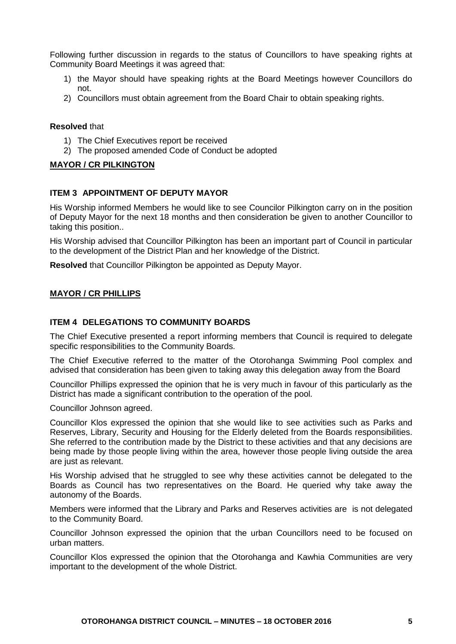Following further discussion in regards to the status of Councillors to have speaking rights at Community Board Meetings it was agreed that:

- 1) the Mayor should have speaking rights at the Board Meetings however Councillors do not.
- 2) Councillors must obtain agreement from the Board Chair to obtain speaking rights.

#### **Resolved** that

- 1) The Chief Executives report be received
- 2) The proposed amended Code of Conduct be adopted

#### **MAYOR / CR PILKINGTON**

#### **ITEM 3 APPOINTMENT OF DEPUTY MAYOR**

His Worship informed Members he would like to see Councilor Pilkington carry on in the position of Deputy Mayor for the next 18 months and then consideration be given to another Councillor to taking this position..

His Worship advised that Councillor Pilkington has been an important part of Council in particular to the development of the District Plan and her knowledge of the District.

**Resolved** that Councillor Pilkington be appointed as Deputy Mayor.

#### **MAYOR / CR PHILLIPS**

#### **ITEM 4 DELEGATIONS TO COMMUNITY BOARDS**

The Chief Executive presented a report informing members that Council is required to delegate specific responsibilities to the Community Boards.

The Chief Executive referred to the matter of the Otorohanga Swimming Pool complex and advised that consideration has been given to taking away this delegation away from the Board

Councillor Phillips expressed the opinion that he is very much in favour of this particularly as the District has made a significant contribution to the operation of the pool.

Councillor Johnson agreed.

Councillor Klos expressed the opinion that she would like to see activities such as Parks and Reserves, Library, Security and Housing for the Elderly deleted from the Boards responsibilities. She referred to the contribution made by the District to these activities and that any decisions are being made by those people living within the area, however those people living outside the area are just as relevant.

His Worship advised that he struggled to see why these activities cannot be delegated to the Boards as Council has two representatives on the Board. He queried why take away the autonomy of the Boards.

Members were informed that the Library and Parks and Reserves activities are is not delegated to the Community Board.

Councillor Johnson expressed the opinion that the urban Councillors need to be focused on urban matters.

Councillor Klos expressed the opinion that the Otorohanga and Kawhia Communities are very important to the development of the whole District.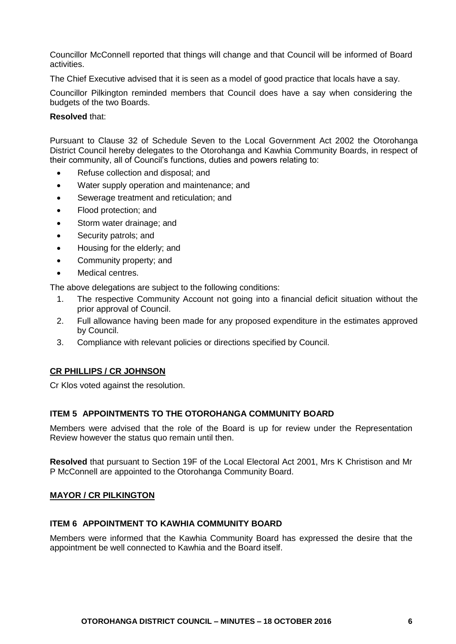Councillor McConnell reported that things will change and that Council will be informed of Board activities.

The Chief Executive advised that it is seen as a model of good practice that locals have a say.

Councillor Pilkington reminded members that Council does have a say when considering the budgets of the two Boards.

#### **Resolved** that:

Pursuant to Clause 32 of Schedule Seven to the Local Government Act 2002 the Otorohanga District Council hereby delegates to the Otorohanga and Kawhia Community Boards, in respect of their community, all of Council's functions, duties and powers relating to:

- Refuse collection and disposal; and
- Water supply operation and maintenance; and
- Sewerage treatment and reticulation; and
- Flood protection; and
- Storm water drainage; and
- Security patrols; and
- Housing for the elderly; and
- Community property; and
- Medical centres.

The above delegations are subject to the following conditions:

- 1. The respective Community Account not going into a financial deficit situation without the prior approval of Council.
- 2. Full allowance having been made for any proposed expenditure in the estimates approved by Council.
- 3. Compliance with relevant policies or directions specified by Council.

#### **CR PHILLIPS / CR JOHNSON**

Cr Klos voted against the resolution.

#### **ITEM 5 APPOINTMENTS TO THE OTOROHANGA COMMUNITY BOARD**

Members were advised that the role of the Board is up for review under the Representation Review however the status quo remain until then.

**Resolved** that pursuant to Section 19F of the Local Electoral Act 2001, Mrs K Christison and Mr P McConnell are appointed to the Otorohanga Community Board.

#### **MAYOR / CR PILKINGTON**

#### **ITEM 6 APPOINTMENT TO KAWHIA COMMUNITY BOARD**

Members were informed that the Kawhia Community Board has expressed the desire that the appointment be well connected to Kawhia and the Board itself.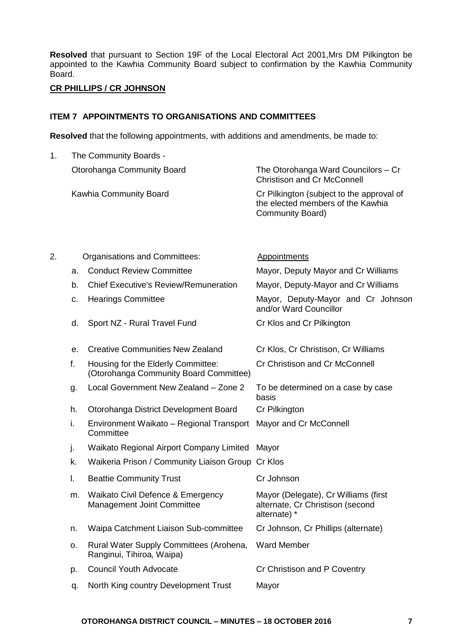**Resolved** that pursuant to Section 19F of the Local Electoral Act 2001,Mrs DM Pilkington be appointed to the Kawhia Community Board subject to confirmation by the Kawhia Community Board.

#### **CR PHILLIPS / CR JOHNSON**

#### **ITEM 7 APPOINTMENTS TO ORGANISATIONS AND COMMITTEES**

**Resolved** that the following appointments, with additions and amendments, be made to:

1. The Community Boards - Otorohanga Community Board The Otorohanga Ward Councilors – Cr Christison and Cr McConnell Kawhia Community Board Cr Pilkington (subject to the approval of the elected members of the Kawhia Community Board)

| 2. |    | Organisations and Committees:                                                | <b>Appointments</b>                                                                      |
|----|----|------------------------------------------------------------------------------|------------------------------------------------------------------------------------------|
|    | а. | <b>Conduct Review Committee</b>                                              | Mayor, Deputy Mayor and Cr Williams                                                      |
|    | b. | <b>Chief Executive's Review/Remuneration</b>                                 | Mayor, Deputy-Mayor and Cr Williams                                                      |
|    | c. | <b>Hearings Committee</b>                                                    | Mayor, Deputy-Mayor and Cr Johnson<br>and/or Ward Councillor                             |
|    | d. | Sport NZ - Rural Travel Fund                                                 | Cr Klos and Cr Pilkington                                                                |
|    | е. | <b>Creative Communities New Zealand</b>                                      | Cr Klos, Cr Christison, Cr Williams                                                      |
|    | f. | Housing for the Elderly Committee:<br>(Otorohanga Community Board Committee) | Cr Christison and Cr McConnell                                                           |
|    | g. | Local Government New Zealand - Zone 2                                        | To be determined on a case by case<br>basis                                              |
|    | h. | Otorohanga District Development Board                                        | Cr Pilkington                                                                            |
|    | i. | Environment Waikato - Regional Transport<br>Committee                        | Mayor and Cr McConnell                                                                   |
|    | j. | Waikato Regional Airport Company Limited                                     | Mayor                                                                                    |
|    | k. | Waikeria Prison / Community Liaison Group                                    | Cr Klos                                                                                  |
|    | I. | <b>Beattie Community Trust</b>                                               | Cr Johnson                                                                               |
|    | m. | Waikato Civil Defence & Emergency<br><b>Management Joint Committee</b>       | Mayor (Delegate), Cr Williams (first<br>alternate, Cr Christison (second<br>alternate) * |
|    | n. | Waipa Catchment Liaison Sub-committee                                        | Cr Johnson, Cr Phillips (alternate)                                                      |
|    | о. | Rural Water Supply Committees (Arohena,<br>Ranginui, Tihiroa, Waipa)         | <b>Ward Member</b>                                                                       |
|    | p. | <b>Council Youth Advocate</b>                                                | Cr Christison and P Coventry                                                             |
|    | q. | North King country Development Trust                                         | Mayor                                                                                    |
|    |    |                                                                              |                                                                                          |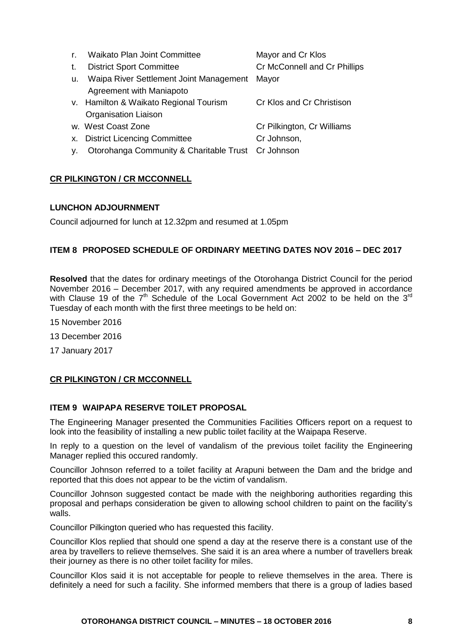| $\mathsf{r}$ . | <b>Waikato Plan Joint Committee</b>                | Mayor and Cr Klos            |
|----------------|----------------------------------------------------|------------------------------|
| t.             | <b>District Sport Committee</b>                    | Cr McConnell and Cr Phillips |
| u.             | Waipa River Settlement Joint Management            | Mayor                        |
|                | Agreement with Maniapoto                           |                              |
|                | v. Hamilton & Waikato Regional Tourism             | Cr Klos and Cr Christison    |
|                | <b>Organisation Liaison</b>                        |                              |
|                | w. West Coast Zone                                 | Cr Pilkington, Cr Williams   |
|                | x. District Licencing Committee                    | Cr Johnson,                  |
| у.             | Otorohanga Community & Charitable Trust Cr Johnson |                              |

#### **CR PILKINGTON / CR MCCONNELL**

#### **LUNCHON ADJOURNMENT**

Council adjourned for lunch at 12.32pm and resumed at 1.05pm

#### **ITEM 8 PROPOSED SCHEDULE OF ORDINARY MEETING DATES NOV 2016 – DEC 2017**

**Resolved** that the dates for ordinary meetings of the Otorohanga District Council for the period November 2016 – December 2017, with any required amendments be approved in accordance with Clause 19 of the  $7<sup>th</sup>$  Schedule of the Local Government Act 2002 to be held on the 3<sup>rd</sup> Tuesday of each month with the first three meetings to be held on:

- 15 November 2016
- 13 December 2016
- 17 January 2017

#### **CR PILKINGTON / CR MCCONNELL**

#### **ITEM 9 WAIPAPA RESERVE TOILET PROPOSAL**

The Engineering Manager presented the Communities Facilities Officers report on a request to look into the feasibility of installing a new public toilet facility at the Waipapa Reserve.

In reply to a question on the level of vandalism of the previous toilet facility the Engineering Manager replied this occured randomly.

Councillor Johnson referred to a toilet facility at Arapuni between the Dam and the bridge and reported that this does not appear to be the victim of vandalism.

Councillor Johnson suggested contact be made with the neighboring authorities regarding this proposal and perhaps consideration be given to allowing school children to paint on the facility's walls.

Councillor Pilkington queried who has requested this facility.

Councillor Klos replied that should one spend a day at the reserve there is a constant use of the area by travellers to relieve themselves. She said it is an area where a number of travellers break their journey as there is no other toilet facility for miles.

Councillor Klos said it is not acceptable for people to relieve themselves in the area. There is definitely a need for such a facility. She informed members that there is a group of ladies based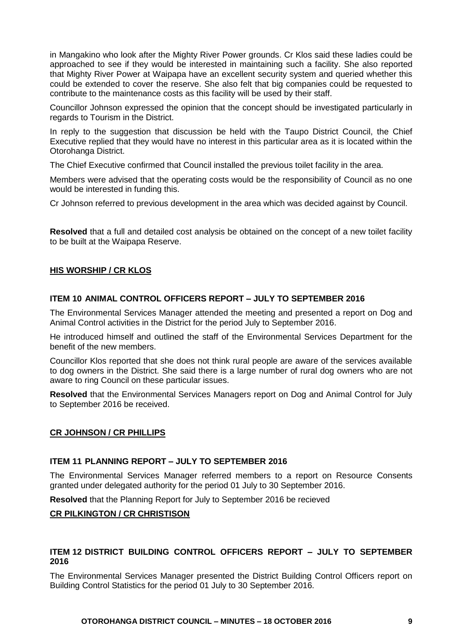in Mangakino who look after the Mighty River Power grounds. Cr Klos said these ladies could be approached to see if they would be interested in maintaining such a facility. She also reported that Mighty River Power at Waipapa have an excellent security system and queried whether this could be extended to cover the reserve. She also felt that big companies could be requested to contribute to the maintenance costs as this facility will be used by their staff.

Councillor Johnson expressed the opinion that the concept should be investigated particularly in regards to Tourism in the District.

In reply to the suggestion that discussion be held with the Taupo District Council, the Chief Executive replied that they would have no interest in this particular area as it is located within the Otorohanga District.

The Chief Executive confirmed that Council installed the previous toilet facility in the area.

Members were advised that the operating costs would be the responsibility of Council as no one would be interested in funding this.

Cr Johnson referred to previous development in the area which was decided against by Council.

**Resolved** that a full and detailed cost analysis be obtained on the concept of a new toilet facility to be built at the Waipapa Reserve.

#### **HIS WORSHIP / CR KLOS**

#### **ITEM 10 ANIMAL CONTROL OFFICERS REPORT – JULY TO SEPTEMBER 2016**

The Environmental Services Manager attended the meeting and presented a report on Dog and Animal Control activities in the District for the period July to September 2016.

He introduced himself and outlined the staff of the Environmental Services Department for the benefit of the new members.

Councillor Klos reported that she does not think rural people are aware of the services available to dog owners in the District. She said there is a large number of rural dog owners who are not aware to ring Council on these particular issues.

**Resolved** that the Environmental Services Managers report on Dog and Animal Control for July to September 2016 be received.

#### **CR JOHNSON / CR PHILLIPS**

#### **ITEM 11 PLANNING REPORT – JULY TO SEPTEMBER 2016**

The Environmental Services Manager referred members to a report on Resource Consents granted under delegated authority for the period 01 July to 30 September 2016.

**Resolved** that the Planning Report for July to September 2016 be recieved

#### **CR PILKINGTON / CR CHRISTISON**

#### **ITEM 12 DISTRICT BUILDING CONTROL OFFICERS REPORT – JULY TO SEPTEMBER 2016**

The Environmental Services Manager presented the District Building Control Officers report on Building Control Statistics for the period 01 July to 30 September 2016.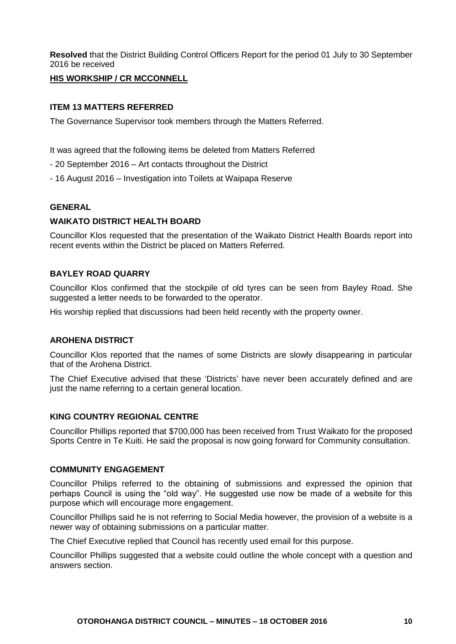**Resolved** that the District Building Control Officers Report for the period 01 July to 30 September 2016 be received

#### **HIS WORKSHIP / CR MCCONNELL**

#### **ITEM 13 MATTERS REFERRED**

The Governance Supervisor took members through the Matters Referred.

It was agreed that the following items be deleted from Matters Referred

- 20 September 2016 Art contacts throughout the District
- 16 August 2016 Investigation into Toilets at Waipapa Reserve

#### **GENERAL**

#### **WAIKATO DISTRICT HEALTH BOARD**

Councillor Klos requested that the presentation of the Waikato District Health Boards report into recent events within the District be placed on Matters Referred.

#### **BAYLEY ROAD QUARRY**

Councillor Klos confirmed that the stockpile of old tyres can be seen from Bayley Road. She suggested a letter needs to be forwarded to the operator.

His worship replied that discussions had been held recently with the property owner.

#### **AROHENA DISTRICT**

Councillor Klos reported that the names of some Districts are slowly disappearing in particular that of the Arohena District.

The Chief Executive advised that these 'Districts' have never been accurately defined and are just the name referring to a certain general location.

#### **KING COUNTRY REGIONAL CENTRE**

Councillor Phillips reported that \$700,000 has been received from Trust Waikato for the proposed Sports Centre in Te Kuiti. He said the proposal is now going forward for Community consultation.

#### **COMMUNITY ENGAGEMENT**

Councillor Philips referred to the obtaining of submissions and expressed the opinion that perhaps Council is using the "old way". He suggested use now be made of a website for this purpose which will encourage more engagement.

Councillor Phillips said he is not referring to Social Media however, the provision of a website is a newer way of obtaining submissions on a particular matter.

The Chief Executive replied that Council has recently used email for this purpose.

Councillor Phillips suggested that a website could outline the whole concept with a question and answers section.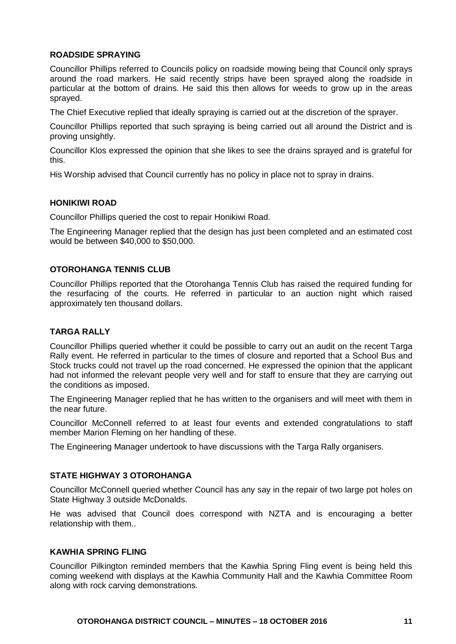#### **ROADSIDE SPRAYING**

Councillor Phillips referred to Councils policy on roadside mowing being that Council only sprays around the road markers. He said recently strips have been sprayed along the roadside in particular at the bottom of drains. He said this then allows for weeds to grow up in the areas sprayed.

The Chief Executive replied that ideally spraying is carried out at the discretion of the sprayer.

Councillor Phillips reported that such spraying is being carried out all around the District and is proving unsightly.

Councillor Klos expressed the opinion that she likes to see the drains sprayed and is grateful for this.

His Worship advised that Council currently has no policy in place not to spray in drains.

#### **HONIKIWI ROAD**

Councillor Phillips queried the cost to repair Honikiwi Road.

The Engineering Manager replied that the design has just been completed and an estimated cost would be between \$40,000 to \$50,000.

#### **OTOROHANGA TENNIS CLUB**

Councillor Phillips reported that the Otorohanga Tennis Club has raised the required funding for the resurfacing of the courts. He referred in particular to an auction night which raised approximately ten thousand dollars.

#### **TARGA RALLY**

Councillor Phillips queried whether it could be possible to carry out an audit on the recent Targa Rally event. He referred in particular to the times of closure and reported that a School Bus and Stock trucks could not travel up the road concerned. He expressed the opinion that the applicant had not informed the relevant people very well and for staff to ensure that they are carrying out the conditions as imposed.

The Engineering Manager replied that he has written to the organisers and will meet with them in the near future.

Councillor McConnell referred to at least four events and extended congratulations to staff member Marion Fleming on her handling of these.

The Engineering Manager undertook to have discussions with the Targa Rally organisers.

#### **STATE HIGHWAY 3 OTOROHANGA**

Councillor McConnell queried whether Council has any say in the repair of two large pot holes on State Highway 3 outside McDonalds.

He was advised that Council does correspond with NZTA and is encouraging a better relationship with them..

#### **KAWHIA SPRING FLING**

Councillor Pilkington reminded members that the Kawhia Spring Fling event is being held this coming weekend with displays at the Kawhia Community Hall and the Kawhia Committee Room along with rock carving demonstrations.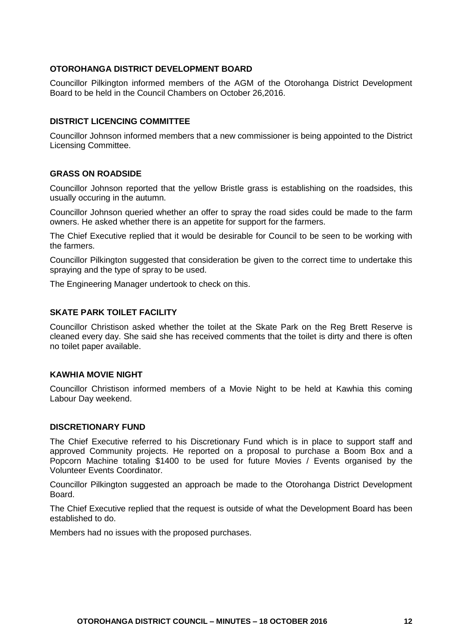#### **OTOROHANGA DISTRICT DEVELOPMENT BOARD**

Councillor Pilkington informed members of the AGM of the Otorohanga District Development Board to be held in the Council Chambers on October 26,2016.

#### **DISTRICT LICENCING COMMITTEE**

Councillor Johnson informed members that a new commissioner is being appointed to the District Licensing Committee.

#### **GRASS ON ROADSIDE**

Councillor Johnson reported that the yellow Bristle grass is establishing on the roadsides, this usually occuring in the autumn.

Councillor Johnson queried whether an offer to spray the road sides could be made to the farm owners. He asked whether there is an appetite for support for the farmers.

The Chief Executive replied that it would be desirable for Council to be seen to be working with the farmers.

Councillor Pilkington suggested that consideration be given to the correct time to undertake this spraying and the type of spray to be used.

The Engineering Manager undertook to check on this.

#### **SKATE PARK TOILET FACILITY**

Councillor Christison asked whether the toilet at the Skate Park on the Reg Brett Reserve is cleaned every day. She said she has received comments that the toilet is dirty and there is often no toilet paper available.

#### **KAWHIA MOVIE NIGHT**

Councillor Christison informed members of a Movie Night to be held at Kawhia this coming Labour Day weekend.

#### **DISCRETIONARY FUND**

The Chief Executive referred to his Discretionary Fund which is in place to support staff and approved Community projects. He reported on a proposal to purchase a Boom Box and a Popcorn Machine totaling \$1400 to be used for future Movies / Events organised by the Volunteer Events Coordinator.

Councillor Pilkington suggested an approach be made to the Otorohanga District Development **Board** 

The Chief Executive replied that the request is outside of what the Development Board has been established to do.

Members had no issues with the proposed purchases.